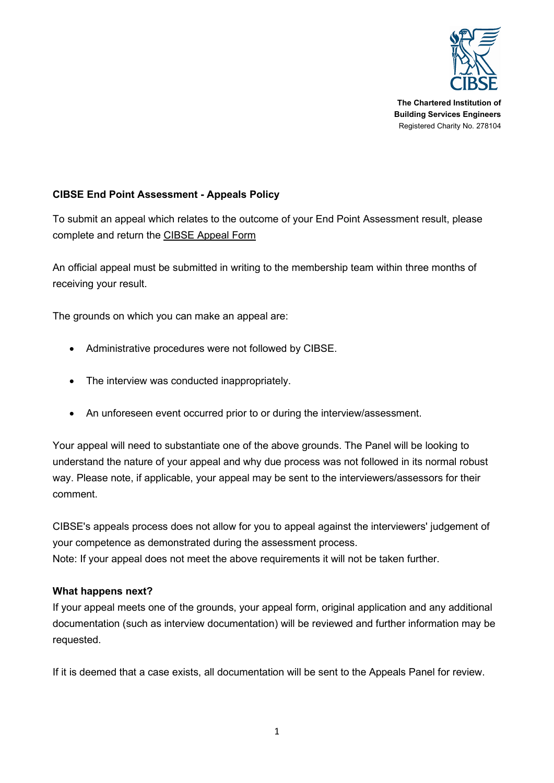

**The Chartered Institution of Building Services Engineers** Registered Charity No. 278104

# **CIBSE End Point Assessment - Appeals Policy**

To submit an appeal which relates to the outcome of your End Point Assessment result, please complete and return the [CIBSE Appeal Form](https://www.cibse.org/getmedia/2f7d1324-966b-4565-98ed-7dd27edf7bbf/CIBSE-appeal-form-2017.pdf.aspx)

An official appeal must be submitted in writing to the membership team within three months of receiving your result.

The grounds on which you can make an appeal are:

- Administrative procedures were not followed by CIBSE.
- The interview was conducted inappropriately.
- An unforeseen event occurred prior to or during the interview/assessment.

Your appeal will need to substantiate one of the above grounds. The Panel will be looking to understand the nature of your appeal and why due process was not followed in its normal robust way. Please note, if applicable, your appeal may be sent to the interviewers/assessors for their comment.

CIBSE's appeals process does not allow for you to appeal against the interviewers' judgement of your competence as demonstrated during the assessment process. Note: If your appeal does not meet the above requirements it will not be taken further.

#### **What happens next?**

If your appeal meets one of the grounds, your appeal form, original application and any additional documentation (such as interview documentation) will be reviewed and further information may be requested.

If it is deemed that a case exists, all documentation will be sent to the Appeals Panel for review.